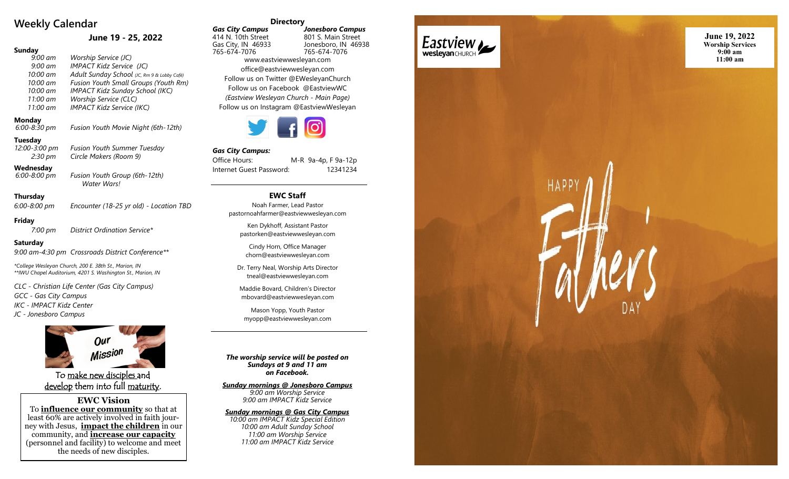# **Weekly Calendar**

## **June 19 - 25, 2022**

## **Sunday**

| 9:00 am             | Worship Service (JC)                        |
|---------------------|---------------------------------------------|
| $9:00$ am           | IMPACT Kidz Service (JC)                    |
| 10:00 am            | Adult Sunday School (JC, Rm 9 & Lobby Café) |
| $10:00 \text{ }$ am | Fusion Youth Small Groups (Youth Rm)        |
| 10:00 am            | <b>IMPACT Kidz Sunday School (IKC)</b>      |
| 11:00 am            | Worship Service (CLC)                       |
| 11:00 am            | <b>IMPACT Kidz Service (IKC)</b>            |
|                     |                                             |

### **Monday**

*6:00 -8:30 pm Fusion Youth Movie Night (6th -12th)*

#### **Tuesday**

*12:00 -3:00 pm Fusion Youth Summer Tuesday 2:30 pm Circle Makers (Room 9)*

#### **Wednesday** *6:00*

*-8:00 pm Fusion Youth Group (6th -12th) Water Wars!*

#### **Thursday**

*6:00 -8:00 pm Encounter (18 -25 yr old) - Location TBD*

#### **Friday**

*7:00 pm District Ordination Service\**

#### **Saturday**

*9:00 am -4:30 pm Crossroads District Conference\*\**

*\*College Wesleyan Church, 200 E. 38th St., Marion, IN \*\*IWU Chapel Auditorium, 4201 S. Washington St., Marion, IN*

*CLC - Christian Life Center (Gas City Campus)*

*GCC - Gas City Campus*

*IKC - IMPACT Kidz Center*

*JC - Jonesboro Campus*



To make new disciples and <u>develop</u> them into full <u>maturity</u>.

**EWC Vision** To **influence our community** so that at

least 60% are actively involved in faith journey with Jesus, **impact the children** in our community, and **increase our capacity** (personnel and facility) to welcome and meet the needs of new disciples.

#### **Directory**

*Gas City Campus Jonesboro Campus* 414 N. 10th Street 801 S. Main Street<br>Gas City, IN 46933 Jonesboro, IN 469 Jonesboro, IN 46938 765 -674 -7076 765 -674 -7076 www.eastviewwesleyan.com office@eastviewwesleyan.com Follow us on Twitter @EWesleyanChurch Follow us on Facebook @EastviewWC *(Eastview Wesleyan Church - Main Page)* Follow us on Instagram @EastviewWesleyan

 $\mathcal{I}$  f  $\Theta$ 

#### *Gas City Campus:*

Office Hours: M -R 9a -4p, F 9a -12p Internet Guest Password: 12341234

## **EWC Staff**

Noah Farmer, Lead Pastor pastornoahfarmer@eastviewwesleyan.com

Ken Dykhoff, Assistant Pastor pastorken@eastviewwesleyan.com

Cindy Horn, Office Manager chorn@eastviewwesleyan.com

Dr. Terry Neal, Worship Arts Director tneal@eastviewwesleyan.com

Maddie Bovard, Children 's Director mbovard@eastviewwesleyan.com

Mason Yopp, Youth Pastor myopp@eastviewwesleyan.com

*The worship service will be posted on Sundays at 9 and 11 am on Facebook.*

*Sunday mornings @ Jonesboro Campus 9:00 am Worship Service 9:00 am IMPACT Kidz Service*

*Sunday mornings @ Gas City Campus 10:00 am IMPACT Kidz Special Edition 10:00 am Adult Sunday School 11:00 am Worship Service 11:00 am IMPACT Kidz Service*



**June 19, 2022 Worship Services 9:00 am 11:00 am**